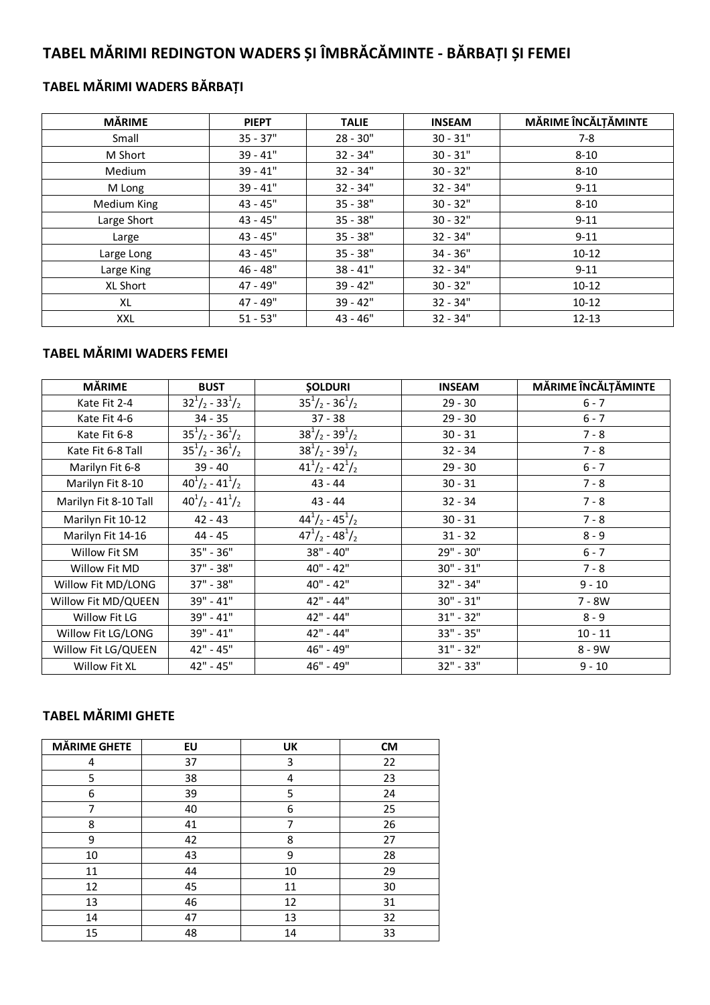# **TABEL MĂRIMI REDINGTON WADERS ȘI ÎMBRĂCĂMINTE - BĂRBAȚI ȘI FEMEI**

### **TABEL MĂRIMI WADERS BĂRBAȚI**

| <b>MĂRIME</b> | <b>PIEPT</b> | <b>TALIE</b> | <b>INSEAM</b> | MĂRIME ÎNCĂLȚĂMINTE |
|---------------|--------------|--------------|---------------|---------------------|
| Small         | $35 - 37"$   | $28 - 30"$   | $30 - 31"$    | 7-8                 |
| M Short       | $39 - 41"$   | $32 - 34"$   | $30 - 31"$    | $8 - 10$            |
| Medium        | $39 - 41"$   | $32 - 34"$   | $30 - 32"$    | $8 - 10$            |
| M Long        | $39 - 41"$   | $32 - 34"$   | $32 - 34"$    | $9 - 11$            |
| Medium King   | $43 - 45"$   | $35 - 38"$   | $30 - 32"$    | $8 - 10$            |
| Large Short   | $43 - 45"$   | $35 - 38"$   | $30 - 32"$    | $9 - 11$            |
| Large         | $43 - 45"$   | $35 - 38"$   | $32 - 34"$    | $9 - 11$            |
| Large Long    | $43 - 45"$   | $35 - 38"$   | $34 - 36"$    | $10-12$             |
| Large King    | $46 - 48"$   | $38 - 41"$   | 32 - 34"      | $9 - 11$            |
| XL Short      | 47 - 49"     | 39 - 42"     | $30 - 32"$    | $10-12$             |
| XL            | 47 - 49"     | 39 - 42"     | $32 - 34"$    | $10 - 12$           |
| XXL           | $51 - 53"$   | $43 - 46"$   | $32 - 34"$    | $12 - 13$           |

### **TABEL MĂRIMI WADERS FEMEI**

| <b>MÅRIME</b>         | <b>BUST</b>                   | <b>SOLDURI</b>                | <b>INSEAM</b> | MĂRIME ÎNCĂLȚĂMINTE |
|-----------------------|-------------------------------|-------------------------------|---------------|---------------------|
| Kate Fit 2-4          | $32^{1}/_{2} - 33^{1}/_{2}$   | $35^{1}/_{2} - 36^{1}/_{2}$   | $29 - 30$     | $6 - 7$             |
| Kate Fit 4-6          | $34 - 35$                     | $37 - 38$                     | $29 - 30$     | $6 - 7$             |
| Kate Fit 6-8          | $35^{1}/_{2} - 36^{1}/_{2}$   | $38^{1}/_{2} - 39^{1}/_{2}$   | $30 - 31$     | $7 - 8$             |
| Kate Fit 6-8 Tall     | $35^{1}/_{2} - 36^{1}/_{2}$   | $38^{1}/_{2} - 39^{1}/_{2}$   | $32 - 34$     | $7 - 8$             |
| Marilyn Fit 6-8       | $39 - 40$                     | $41^1/2 - 42^1/2$             | $29 - 30$     | $6 - 7$             |
| Marilyn Fit 8-10      | $40^{1}/_{2}$ - $41^{1}/_{2}$ | $43 - 44$                     | $30 - 31$     | $7 - 8$             |
| Marilyn Fit 8-10 Tall | $40^{1}/_{2} - 41^{1}/_{2}$   | $43 - 44$                     | $32 - 34$     | $7 - 8$             |
| Marilyn Fit 10-12     | $42 - 43$                     | $44^{1}/_{2} - 45^{1}/_{2}$   | $30 - 31$     | $7 - 8$             |
| Marilyn Fit 14-16     | 44 - 45                       | $47^{1}/_{2}$ - $48^{1}/_{2}$ | $31 - 32$     | $8 - 9$             |
| Willow Fit SM         | 35" - 36"                     | 38" - 40"                     | 29" - 30"     | $6 - 7$             |
| Willow Fit MD         | 37" - 38"                     | 40" - 42"                     | $30" - 31"$   | $7 - 8$             |
| Willow Fit MD/LONG    | 37" - 38"                     | 40" - 42"                     | $32" - 34"$   | $9 - 10$            |
| Willow Fit MD/QUEEN   | 39" - 41"                     | 42" - 44"                     | $30" - 31"$   | 7 - 8W              |
| Willow Fit LG         | 39" - 41"                     | 42" - 44"                     | $31" - 32"$   | $8 - 9$             |
| Willow Fit LG/LONG    | 39" - 41"                     | 42" - 44"                     | $33" - 35"$   | $10 - 11$           |
| Willow Fit LG/QUEEN   | 42" - 45"                     | 46" - 49"                     | $31" - 32"$   | $8 - 9W$            |
| Willow Fit XL         | 42" - 45"                     | 46" - 49"                     | $32" - 33"$   | $9 - 10$            |

#### **TABEL MĂRIMI GHETE**

| <b>MÄRIME GHETE</b> | EU | UK | <b>CM</b> |
|---------------------|----|----|-----------|
| 4                   | 37 | 3  | 22        |
| 5                   | 38 | 4  | 23        |
| 6                   | 39 | 5  | 24        |
| 7                   | 40 | 6  | 25        |
| 8                   | 41 | 7  | 26        |
| 9                   | 42 | 8  | 27        |
| 10                  | 43 | 9  | 28        |
| 11                  | 44 | 10 | 29        |
| 12                  | 45 | 11 | 30        |
| 13                  | 46 | 12 | 31        |
| 14                  | 47 | 13 | 32        |
| 15                  | 48 | 14 | 33        |